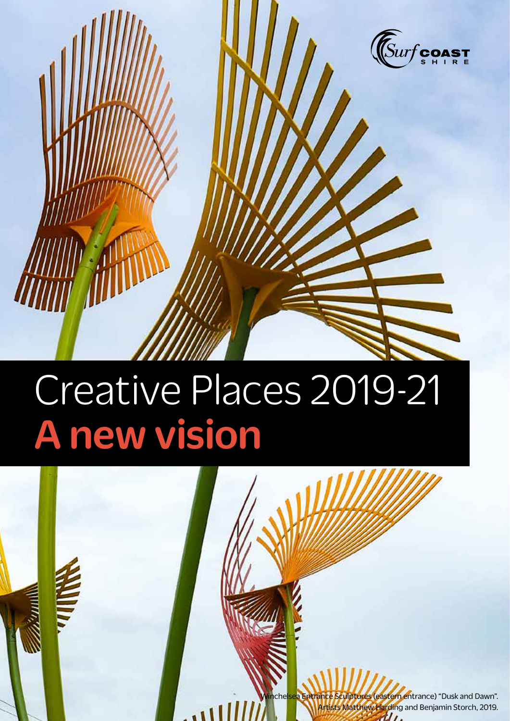

# Creative Places 2019-21 A new vision

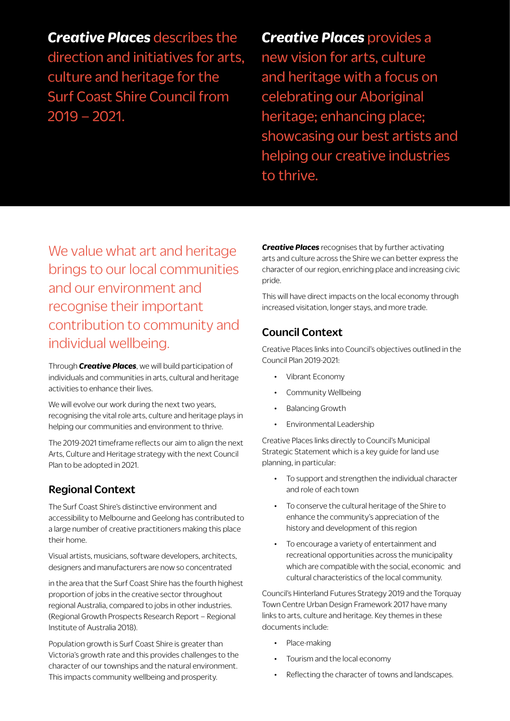*Creative Places* describes the direction and initiatives for arts, culture and heritage for the Surf Coast Shire Council from 2019 – 2021.

*Creative Places provides a* new vision for arts, culture and heritage with a focus on celebrating our Aboriginal heritage; enhancing place; showcasing our best artists and helping our creative industries to thrive.

We value what art and heritage brings to our local communities and our environment and recognise their important contribution to community and individual wellbeing.

Through *Creative Places*, we will build participation of individuals and communities in arts, cultural and heritage activities to enhance their lives.

We will evolve our work during the next two years, recognising the vital role arts, culture and heritage plays in helping our communities and environment to thrive.

The 2019-2021 timeframe reflects our aim to align the next Arts, Culture and Heritage strategy with the next Council Plan to be adopted in 2021.

## Regional Context

The Surf Coast Shire's distinctive environment and accessibility to Melbourne and Geelong has contributed to a large number of creative practitioners making this place their home.

Visual artists, musicians, software developers, architects, designers and manufacturers are now so concentrated

in the area that the Surf Coast Shire has the fourth highest proportion of jobs in the creative sector throughout regional Australia, compared to jobs in other industries. (Regional Growth Prospects Research Report – Regional Institute of Australia 2018).

Population growth is Surf Coast Shire is greater than Victoria's growth rate and this provides challenges to the character of our townships and the natural environment. This impacts community wellbeing and prosperity.

*Creative Places* recognises that by further activating arts and culture across the Shire we can better express the character of our region, enriching place and increasing civic pride.

This will have direct impacts on the local economy through increased visitation, longer stays, and more trade.

## Council Context

Creative Places links into Council's objectives outlined in the Council Plan 2019-2021:

- Vibrant Economy
- Community Wellbeing
- Balancing Growth
- Environmental Leadership

Creative Places links directly to Council's Municipal Strategic Statement which is a key guide for land use planning, in particular:

- To support and strengthen the individual character and role of each town
- To conserve the cultural heritage of the Shire to enhance the community's appreciation of the history and development of this region
- To encourage a variety of entertainment and recreational opportunities across the municipality which are compatible with the social, economic and cultural characteristics of the local community.

Council's Hinterland Futures Strategy 2019 and the Torquay Town Centre Urban Design Framework 2017 have many links to arts, culture and heritage. Key themes in these documents include:

- Place-making
- Tourism and the local economy
- Reflecting the character of towns and landscapes.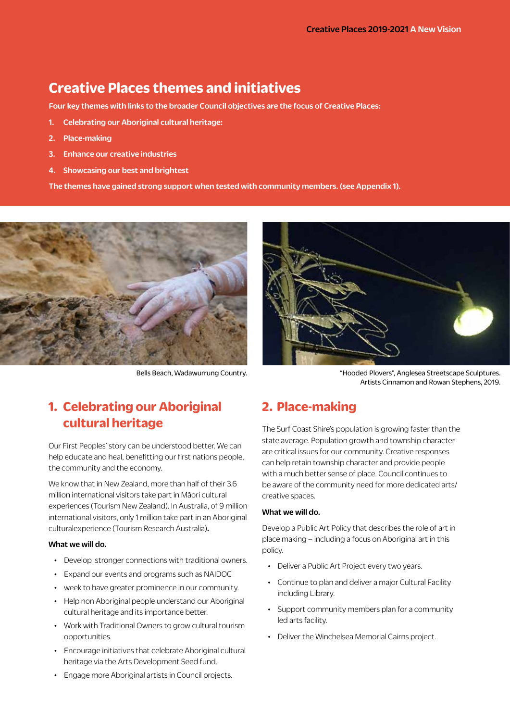## **Creative Places themes and initiatives**

Four key themes with links to the broader Council objectives are the focus of Creative Places:

- 1. Celebrating our Aboriginal cultural heritage:
- 2. Place-making
- 3. Enhance our creative industries
- 4. Showcasing our best and brightest

The themes have gained strong support when tested with community members. (see Appendix 1).





Bells Beach, Wadawurrung Country. "Hooded Plovers", Anglesea Streetscape Sculptures. Artists Cinnamon and Rowan Stephens, 2019.

## **2. Place-making**

The Surf Coast Shire's population is growing faster than the state average. Population growth and township character are critical issues for our community. Creative responses can help retain township character and provide people with a much better sense of place. Council continues to be aware of the community need for more dedicated arts/ creative spaces.

#### What we will do.

Develop a Public Art Policy that describes the role of art in place making – including a focus on Aboriginal art in this policy.

- Deliver a Public Art Project every two years.
- Continue to plan and deliver a major Cultural Facility including Library.
- Support community members plan for a community led arts facility.
- Deliver the Winchelsea Memorial Cairns project.

# **1. Celebrating our Aboriginal cultural heritage**

Our First Peoples' story can be understood better. We can help educate and heal, benefitting our first nations people, the community and the economy.

We know that in New Zealand, more than half of their 3.6 million international visitors take part in Māori cultural experiences (Tourism New Zealand). In Australia, of 9 million international visitors, only 1 million take part in an Aboriginal culturalexperience (Tourism Research Australia).

#### What we will do.

- Develop stronger connections with traditional owners.
- Expand our events and programs such as NAIDOC
- week to have greater prominence in our community.
- Help non Aboriginal people understand our Aboriginal cultural heritage and its importance better.
- Work with Traditional Owners to grow cultural tourism opportunities.
- Encourage initiatives that celebrate Aboriginal cultural heritage via the Arts Development Seed fund.
- Engage more Aboriginal artists in Council projects.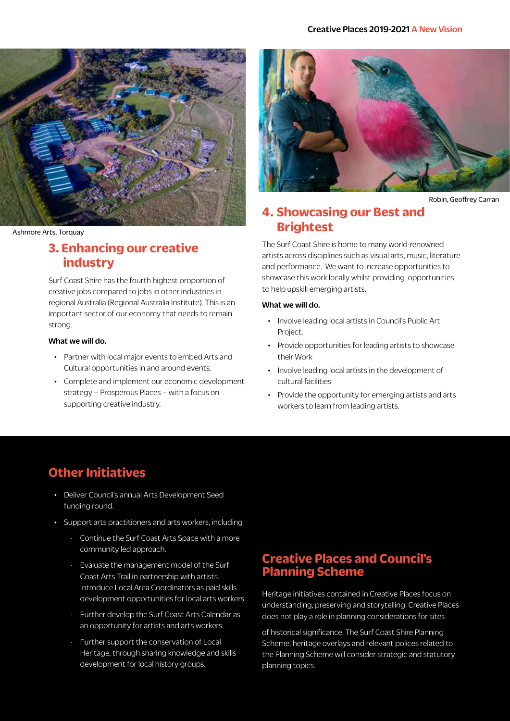

Ashmore Arts, Torquay

## **3. Enhancing our creative industry**

Surf Coast Shire has the fourth highest proportion of creative jobs compared to jobs in other industries in regional Australia (Regional Australia Institute). This is an important sector of our economy that needs to remain strong.

#### What we will do.

- Partner with local major events to embed Arts and Cultural opportunities in and around events.
- Complete and implement our economic development strategy – Prosperous Places – with a focus on supporting creative industry.



Robin, Geoffrey Carran

## **4. Showcasing our Best and Brightest**

The Surf Coast Shire is home to many world-renowned artists across disciplines such as visual arts, music, literature and performance. We want to increase opportunities to showcase this work locally whilst providing opportunities to help upskill emerging artists.

#### What we will do.

- Involve leading local artists in Council's Public Art Project.
- Provide opportunities for leading artists to showcase their Work
- Involve leading local artists in the development of cultural facilities
- Provide the opportunity for emerging artists and arts workers to learn from leading artists.

## **Other Initiatives**

- Deliver Council's annual Arts Development Seed funding round.
- Support arts practitioners and arts workers, including
	- Continue the Surf Coast Arts Space with a more community led approach.
	- Evaluate the management model of the Surf Coast Arts Trail in partnership with artists. Introduce Local Area Coordinators as paid skills development opportunities for local arts workers.
	- Further develop the Surf Coast Arts Calendar as an opportunity for artists and arts workers.
	- Further support the conservation of Local Heritage, through sharing knowledge and skills development for local history groups.

## **Creative Places and Council's Planning Scheme**

Heritage initiatives contained in Creative Places focus on understanding, preserving and storytelling. Creative Places does not play a role in planning considerations for sites

of historical significance. The Surf Coast Shire Planning Scheme, heritage overlays and relevant polices related to the Planning Scheme will consider strategic and statutory planning topics.